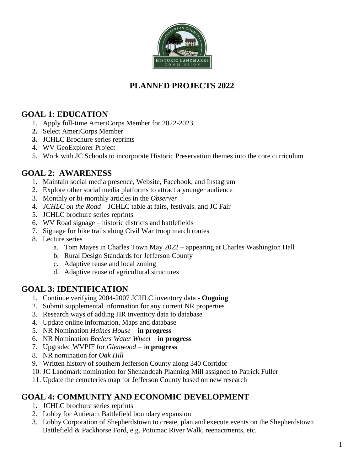

# **PLANNED PROJECTS 2022**

# **GOAL 1: EDUCATION**

- 1. Apply full-time AmeriCorps Member for 2022-2023
- **2.** Select AmeriCorps Member
- **3.** JCHLC Brochure series reprints
- 4. WV GeoExplorer Project
- 5. Work with JC Schools to incorporate Historic Preservation themes into the core curriculum

# **GOAL 2: AWARENESS**

- 1. Maintain social media presence, Website, Facebook, and Instagram
- 2. Explore other social media platforms to attract a younger audience
- 3. Monthly or bi-monthly articles in the *Observer*
- 4. *JCHLC on the Road –* JCHLC table at fairs, festivals. and JC Fair
- 5. JCHLC brochure series reprints
- 6. WV Road signage historic districts and battlefields
- 7. Signage for bike trails along Civil War troop march routes
- 8. Lecture series
	- a. Tom Mayes in Charles Town May 2022 appearing at Charles Washington Hall
	- b. Rural Design Standards for Jefferson County
	- c. Adaptive reuse and local zoning
	- d. Adaptive reuse of agricultural structures

# **GOAL 3: IDENTIFICATION**

- 1. Continue verifying 2004-2007 JCHLC inventory data **Ongoing**
- 2. Submit supplemental information for any current NR properties
- 3. Research ways of adding HR inventory data to database
- 4. Update online information, Maps and database
- 5. NR Nomination *Haines House* **in progress**
- 6. NR Nomination *Beelers Water Wheel* **in progress**
- 7. Upgraded WVPIF for *Glenwood*  i**n progress**
- 8. NR nomination for *Oak Hill*
- 9. Written history of southern Jefferson County along 340 Corridor
- 10. JC Landmark nomination for Shenandoah Planning Mill assigned to Patrick Fuller
- 11. Update the cemeteries map for Jefferson County based on new research

# **GOAL 4: COMMUNITY AND ECONOMIC DEVELOPMENT**

- 1. JCHLC brochure series reprints
- 2. Lobby for Antietam Battlefield boundary expansion
- 3. Lobby Corporation of Shepherdstown to create, plan and execute events on the Shepherdstown Battlefield & Packhorse Ford, e.g. Potomac River Walk, reenactments, etc.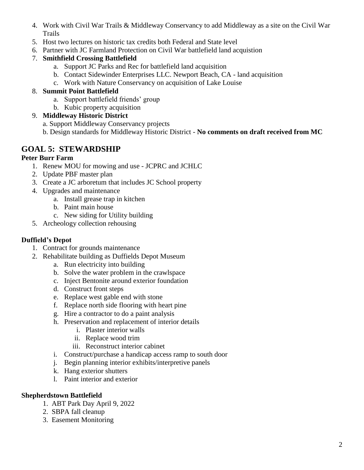- 4. Work with Civil War Trails & Middleway Conservancy to add Middleway as a site on the Civil War **Trails**
- 5. Host two lectures on historic tax credits both Federal and State level
- 6. Partner with JC Farmland Protection on Civil War battlefield land acquistion

# 7. **Smithfield Crossing Battlefield**

- a. Support JC Parks and Rec for battlefield land acquisition
- b. Contact Sidewinder Enterprises LLC. Newport Beach, CA land acquisition
- c. Work with Nature Conservancy on acquisition of Lake Louise

### 8. **Summit Point Battlefield**

- a. Support battlefield friends' group
- b. Kubic property acquisition

### 9. **Middleway Historic District**

- a. Support Middleway Conservancy projects
- b. Design standards for Middleway Historic District **No comments on draft received from MC**

# **GOAL 5: STEWARDSHIP**

### **Peter Burr Farm**

- 1. Renew MOU for mowing and use JCPRC and JCHLC
- 2. Update PBF master plan
- 3. Create a JC arboretum that includes JC School property
- 4. Upgrades and maintenance
	- a. Install grease trap in kitchen
	- b. Paint main house
	- c. New siding for Utility building
- 5. Archeology collection rehousing

### **Duffield's Depot**

- 1. Contract for grounds maintenance
- 2. Rehabilitate building as Duffields Depot Museum
	- a. Run electricity into building
	- b. Solve the water problem in the crawlspace
	- c. Inject Bentonite around exterior foundation
	- d. Construct front steps
	- e. Replace west gable end with stone
	- f. Replace north side flooring with heart pine
	- g. Hire a contractor to do a paint analysis
	- h. Preservation and replacement of interior details
		- i. Plaster interior walls
		- ii. Replace wood trim
		- iii. Reconstruct interior cabinet
	- i. Construct/purchase a handicap access ramp to south door
	- j. Begin planning interior exhibits/interpretive panels
	- k. Hang exterior shutters
	- l. Paint interior and exterior

### **Shepherdstown Battlefield**

- 1.ABT Park Day April 9, 2022
- 2. SBPA fall cleanup
- 3.Easement Monitoring